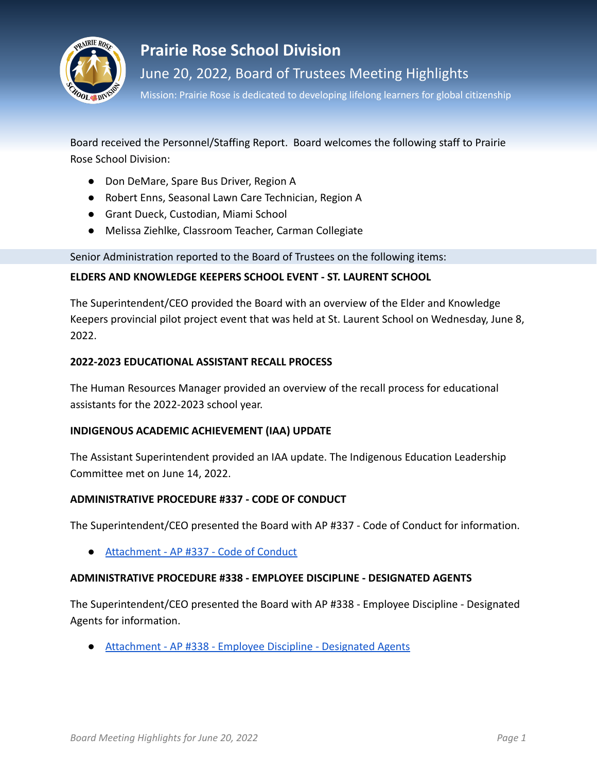

# **Prairie Rose School Division**

June 20, 2022, Board of Trustees Meeting Highlights

Mission: Prairie Rose is dedicated to developing lifelong learners for global citizenship

Board received the Personnel/Staffing Report. Board welcomes the following staff to Prairie Rose School Division:

- Don DeMare, Spare Bus Driver, Region A
- Robert Enns, Seasonal Lawn Care Technician, Region A
- Grant Dueck, Custodian, Miami School
- Melissa Ziehlke, Classroom Teacher, Carman Collegiate

Senior Administration reported to the Board of Trustees on the following items:

# **ELDERS AND KNOWLEDGE KEEPERS SCHOOL EVENT - ST. LAURENT SCHOOL**

The Superintendent/CEO provided the Board with an overview of the Elder and Knowledge Keepers provincial pilot project event that was held at St. Laurent School on Wednesday, June 8, 2022.

# **2022-2023 EDUCATIONAL ASSISTANT RECALL PROCESS**

The Human Resources Manager provided an overview of the recall process for educational assistants for the 2022-2023 school year.

# **INDIGENOUS ACADEMIC ACHIEVEMENT (IAA) UPDATE**

The Assistant Superintendent provided an IAA update. The Indigenous Education Leadership Committee met on June 14, 2022.

## **ADMINISTRATIVE PROCEDURE #337 - CODE OF CONDUCT**

The Superintendent/CEO presented the Board with AP #337 - Code of Conduct for information.

● [Attachment - AP #337 - Code of Conduct](http://www.prsdmb.ca/wp-content/uploads/2022/06/Human-Resources-AP-337-Code-of-Conduct.pdf)

## **ADMINISTRATIVE PROCEDURE #338 - EMPLOYEE DISCIPLINE - DESIGNATED AGENTS**

The Superintendent/CEO presented the Board with AP #338 - Employee Discipline - Designated Agents for information.

● [Attachment - AP #338 - Employee Discipline - Designated Agents](http://www.prsdmb.ca/wp-content/uploads/2022/06/Human-Resources-AP-338-Employee-Discipline-Designated-Agents.pdf)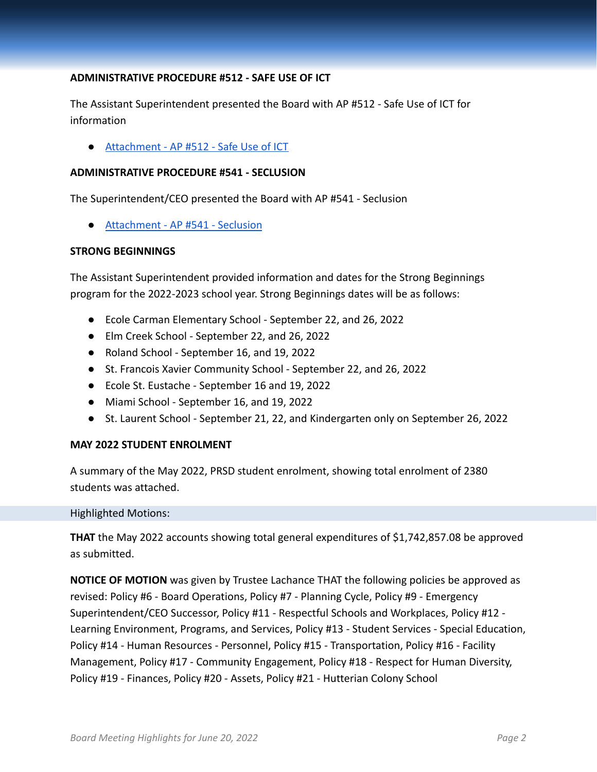# **ADMINISTRATIVE PROCEDURE #512 - SAFE USE OF ICT**

The Assistant Superintendent presented the Board with AP #512 - Safe Use of ICT for information

● [Attachment - AP #512 - Safe Use of ICT](http://www.prsdmb.ca/wp-content/uploads/2022/06/Students-AP-512-Safe-Use-of-ICT.pdf)

#### **ADMINISTRATIVE PROCEDURE #541 - SECLUSION**

The Superintendent/CEO presented the Board with AP #541 - Seclusion

● [Attachment - AP #541 - Seclusion](http://www.prsdmb.ca/wp-content/uploads/2022/06/Students-AP-541-Seclusion.pdf)

#### **STRONG BEGINNINGS**

The Assistant Superintendent provided information and dates for the Strong Beginnings program for the 2022-2023 school year. Strong Beginnings dates will be as follows:

- Ecole Carman Elementary School September 22, and 26, 2022
- Elm Creek School September 22, and 26, 2022
- Roland School September 16, and 19, 2022
- St. Francois Xavier Community School September 22, and 26, 2022
- Ecole St. Eustache September 16 and 19, 2022
- Miami School September 16, and 19, 2022
- St. Laurent School September 21, 22, and Kindergarten only on September 26, 2022

## **MAY 2022 STUDENT ENROLMENT**

A summary of the May 2022, PRSD student enrolment, showing total enrolment of 2380 students was attached.

#### Highlighted Motions:

**THAT** the May 2022 accounts showing total general expenditures of \$1,742,857.08 be approved as submitted.

**NOTICE OF MOTION** was given by Trustee Lachance THAT the following policies be approved as revised: Policy #6 - Board Operations, Policy #7 - Planning Cycle, Policy #9 - Emergency Superintendent/CEO Successor, Policy #11 - Respectful Schools and Workplaces, Policy #12 - Learning Environment, Programs, and Services, Policy #13 - Student Services - Special Education, Policy #14 - Human Resources - Personnel, Policy #15 - Transportation, Policy #16 - Facility Management, Policy #17 - Community Engagement, Policy #18 - Respect for Human Diversity, Policy #19 - Finances, Policy #20 - Assets, Policy #21 - Hutterian Colony School